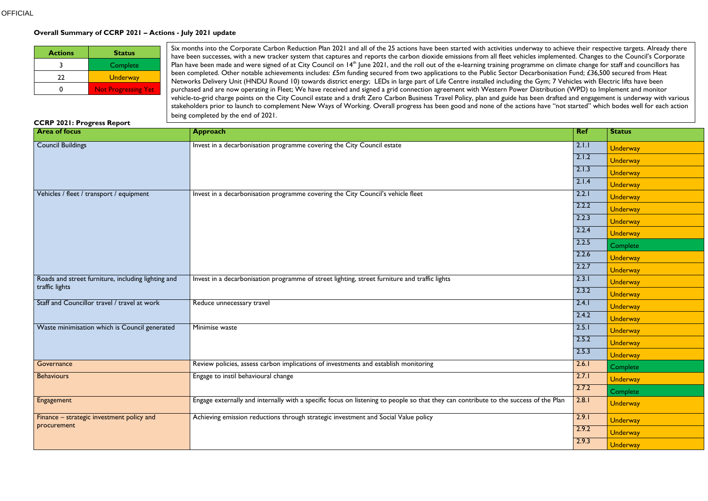#### **Overall Summary of CCRP 2021 – Actions - July 2021 update**

| <b>Actions</b> | <b>Status</b>              |  |
|----------------|----------------------------|--|
|                | Complete                   |  |
| 22             | <b>Underway</b>            |  |
|                | <b>Not Progressing Yet</b> |  |

#### **CCRP 2021: Progress Report**

| CCNF ZUZI; Frugress Nepurt                                           |                                                                                                                                      |            |                 |
|----------------------------------------------------------------------|--------------------------------------------------------------------------------------------------------------------------------------|------------|-----------------|
| <b>Area of focus</b>                                                 | <b>Approach</b>                                                                                                                      | <b>Ref</b> | <b>Status</b>   |
| <b>Council Buildings</b>                                             | Invest in a decarbonisation programme covering the City Council estate                                                               | 2.1.1      | <b>Underway</b> |
|                                                                      |                                                                                                                                      | 2.1.2      | <b>Underway</b> |
|                                                                      |                                                                                                                                      | 2.1.3      | <b>Underway</b> |
|                                                                      |                                                                                                                                      | 2.1.4      | <b>Underway</b> |
| Vehicles / fleet / transport / equipment                             | Invest in a decarbonisation programme covering the City Council's vehicle fleet                                                      | 2.2.1      | <b>Underway</b> |
|                                                                      |                                                                                                                                      | 2.2.2      | <b>Underway</b> |
|                                                                      |                                                                                                                                      | 2.2.3      | <b>Underway</b> |
|                                                                      |                                                                                                                                      | 2.2.4      | <b>Underway</b> |
|                                                                      |                                                                                                                                      | 2.2.5      | Complete        |
|                                                                      |                                                                                                                                      | 2.2.6      | <b>Underway</b> |
|                                                                      |                                                                                                                                      | 2.2.7      | <b>Underway</b> |
| Roads and street furniture, including lighting and<br>traffic lights | Invest in a decarbonisation programme of street lighting, street furniture and traffic lights                                        | 2.3.1      | <b>Underway</b> |
|                                                                      |                                                                                                                                      | 2.3.2      | <b>Underway</b> |
| Staff and Councillor travel / travel at work                         | Reduce unnecessary travel                                                                                                            | 2.4.1      | <b>Underway</b> |
|                                                                      |                                                                                                                                      | 2.4.2      | <b>Underway</b> |
| Waste minimisation which is Council generated                        | Minimise waste                                                                                                                       | 2.5.1      | <b>Underway</b> |
|                                                                      |                                                                                                                                      | 2.5.2      | <b>Underway</b> |
|                                                                      |                                                                                                                                      | 2.5.3      | <b>Underway</b> |
| Governance                                                           | Review policies, assess carbon implications of investments and establish monitoring                                                  | 2.6.1      | Complete        |
| <b>Behaviours</b>                                                    | Engage to instil behavioural change                                                                                                  | 2.7.1      | <b>Underway</b> |
|                                                                      |                                                                                                                                      | 2.7.2      | Complete        |
| Engagement                                                           | Engage externally and internally with a specific focus on listening to people so that they can contribute to the success of the Plan | 2.8.1      | <b>Underway</b> |
| Finance - strategic investment policy and                            | Achieving emission reductions through strategic investment and Social Value policy                                                   | 2.9.1      | <b>Underway</b> |
| procurement                                                          |                                                                                                                                      | 2.9.2      | <b>Underway</b> |
|                                                                      |                                                                                                                                      | 2.9.3      | <b>Underway</b> |

Six months into the Corporate Carbon Reduction Plan 2021 and all of the 25 actions have been started with activities underway to achieve their respective targets. Already there have been successes, with a new tracker system that captures and reports the carbon dioxide emissions from all fleet vehicles implemented. Changes to the Council's Corporate Plan have been made and were signed of at City Council on 14<sup>th</sup> June 2021, and the roll out of the e-learning training programme on climate change for staff and councillors has been completed. Other notable achievements includes: £5m funding secured from two applications to the Public Sector Decarbonisation Fund; £36,500 secured from Heat Networks Delivery Unit (HNDU Round 10) towards district energy; LEDs in large part of Life Centre installed including the Gym; 7 Vehicles with Electric lifts have been purchased and are now operating in Fleet; We have received and signed a grid connection agreement with Western Power Distribution (WPD) to Implement and monitor vehicle-to-grid charge points on the City Council estate and a draft Zero Carbon Business Travel Policy, plan and guide has been drafted and engagement is underway with various stakeholders prior to launch to complement New Ways of Working. Overall progress has been good and none of the actions have "not started" which bodes well for each action being completed by the end of 2021.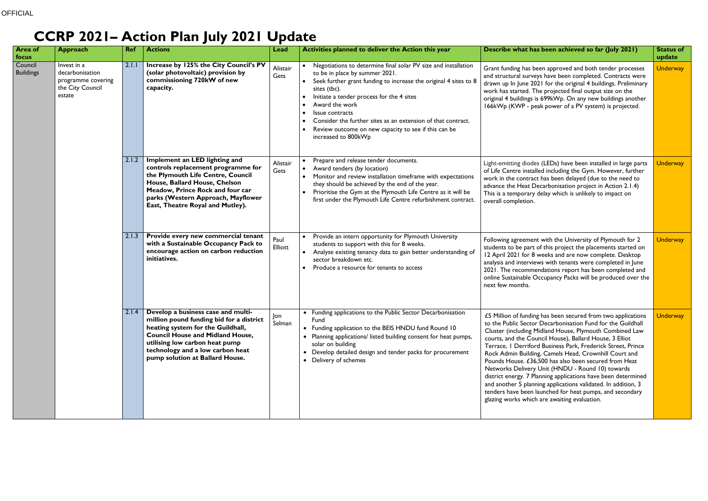# **CCRP 2021– Action Plan July 2021 Update**

| <b>Area of</b><br>focus     | <b>Approach</b>                                                                    | <b>Ref</b> | <b>Actions</b>                                                                                                                                                                                                                                                          | Lead            | Activities planned to deliver the Action this year                                                                                                                                                                                                                                                          | Describe what has been achieved so far (July 2021)                                                                                                                                                                                                                                                                                                                                                                                                                                                                                                                                                                                                                                                                                    | <b>Status of</b><br>update                                                                                             |                                                                                                                                                                                                                                                                                                                          |                                                                                                                                                                                                                                                                                                                                                                                                                                    |                                                                                                                                                                                                                                                                                                                                                                                  |          |
|-----------------------------|------------------------------------------------------------------------------------|------------|-------------------------------------------------------------------------------------------------------------------------------------------------------------------------------------------------------------------------------------------------------------------------|-----------------|-------------------------------------------------------------------------------------------------------------------------------------------------------------------------------------------------------------------------------------------------------------------------------------------------------------|---------------------------------------------------------------------------------------------------------------------------------------------------------------------------------------------------------------------------------------------------------------------------------------------------------------------------------------------------------------------------------------------------------------------------------------------------------------------------------------------------------------------------------------------------------------------------------------------------------------------------------------------------------------------------------------------------------------------------------------|------------------------------------------------------------------------------------------------------------------------|--------------------------------------------------------------------------------------------------------------------------------------------------------------------------------------------------------------------------------------------------------------------------------------------------------------------------|------------------------------------------------------------------------------------------------------------------------------------------------------------------------------------------------------------------------------------------------------------------------------------------------------------------------------------------------------------------------------------------------------------------------------------|----------------------------------------------------------------------------------------------------------------------------------------------------------------------------------------------------------------------------------------------------------------------------------------------------------------------------------------------------------------------------------|----------|
| Council<br><b>Buildings</b> | Invest in a<br>decarbonisation<br>programme covering<br>the City Council<br>estate |            |                                                                                                                                                                                                                                                                         |                 |                                                                                                                                                                                                                                                                                                             | 2.1.1                                                                                                                                                                                                                                                                                                                                                                                                                                                                                                                                                                                                                                                                                                                                 | Increase by 125% the City Council's PV<br>(solar photovoltaic) provision by<br>commissioning 720kW of new<br>capacity. | Alistair<br>Gets                                                                                                                                                                                                                                                                                                         | Negotiations to determine final solar PV size and installation<br>to be in place by summer 2021.<br>Seek further grant funding to increase the original 4 sites to 8<br>$\bullet$<br>sites (tbc).<br>Initiate a tender process for the 4 sites<br>Award the work<br>Issue contracts<br>Consider the further sites as an extension of that contract.<br>Review outcome on new capacity to see if this can be<br>increased to 800kWp | Grant funding has been approved and both tender processes<br>and structural surveys have been completed. Contracts were<br>drawn up In June 2021 for the original 4 buildings. Preliminary<br>work has started. The projected final output size on the<br>original 4 buildings is 699kWp. On any new buildings another<br>166kWp (KWP - peak power of a PV system) is projected. | Underway |
|                             |                                                                                    |            |                                                                                                                                                                                                                                                                         |                 | 2.1.2                                                                                                                                                                                                                                                                                                       | Implement an LED lighting and<br>controls replacement programme for<br>the Plymouth Life Centre, Council<br>House, Ballard House, Chelson<br>Meadow, Prince Rock and four car<br>parks (Western Approach, Mayflower<br>East, Theatre Royal and Mutley).                                                                                                                                                                                                                                                                                                                                                                                                                                                                               | Alistair<br>Gets                                                                                                       | Prepare and release tender documents.<br>Award tenders (by location)<br>• Monitor and review installation timeframe with expectations<br>they should be achieved by the end of the year.<br>Prioritise the Gym at the Plymouth Life Centre as it will be<br>first under the Plymouth Life Centre refurbishment contract. | Light-emitting diodes (LEDs) have been installed in large parts<br>of Life Centre installed including the Gym. However, further<br>work in the contract has been delayed (due to the need to<br>advance the Heat Decarbonisation project in Action 2.1.4)<br>This is a temporary delay which is unlikely to impact on<br>overall completion.                                                                                       | <b>Underway</b>                                                                                                                                                                                                                                                                                                                                                                  |          |
|                             |                                                                                    | 2.1.3      | Provide every new commercial tenant<br>with a Sustainable Occupancy Pack to<br>encourage action on carbon reduction<br>initiatives.                                                                                                                                     | Paul<br>Elliott | Provide an intern opportunity for Plymouth University<br>students to support with this for 8 weeks.<br>Analyse existing tenancy data to gain better understanding of<br>$\bullet$<br>sector breakdown etc.<br>Produce a resource for tenants to access                                                      | Following agreement with the University of Plymouth for 2<br>students to be part of this project the placements started on<br>12 April 2021 for 8 weeks and are now complete. Desktop<br>analysis and interviews with tenants were completed in June<br>2021. The recommendations report has been completed and<br>online Sustainable Occupancy Packs will be produced over the<br>next few months.                                                                                                                                                                                                                                                                                                                                   | <b>Underway</b>                                                                                                        |                                                                                                                                                                                                                                                                                                                          |                                                                                                                                                                                                                                                                                                                                                                                                                                    |                                                                                                                                                                                                                                                                                                                                                                                  |          |
|                             |                                                                                    |            | Develop a business case and multi-<br>million pound funding bid for a district<br>heating system for the Guildhall,<br><b>Council House and Midland House,</b><br>utilising low carbon heat pump<br>technology and a low carbon heat<br>pump solution at Ballard House. | Jon<br>Selman   | • Funding applications to the Public Sector Decarbonisation<br>Fund<br>• Funding application to the BEIS HNDU fund Round 10<br>• Planning applications/ listed building consent for heat pumps,<br>solar on building<br>• Develop detailed design and tender packs for procurement<br>• Delivery of schemes | £5 Million of funding has been secured from two applications<br>to the Public Sector Decarbonisation Fund for the Guildhall<br>Cluster (including Midland House, Plymouth Combined Law<br>courts, and the Council House), Ballard House, 3 Elliot<br>Terrace, I Derriford Business Park, Frederick Street, Prince<br>Rock Admin Building, Camels Head, Crownhill Court and<br>Pounds House. £36,500 has also been secured from Heat<br>Networks Delivery Unit (HNDU - Round 10) towards<br>district energy. 7 Planning applications have been determined<br>and another 5 planning applications validated. In addition, 3<br>tenders have been launched for heat pumps, and secondary<br>glazing works which are awaiting evaluation. | <b>Underway</b>                                                                                                        |                                                                                                                                                                                                                                                                                                                          |                                                                                                                                                                                                                                                                                                                                                                                                                                    |                                                                                                                                                                                                                                                                                                                                                                                  |          |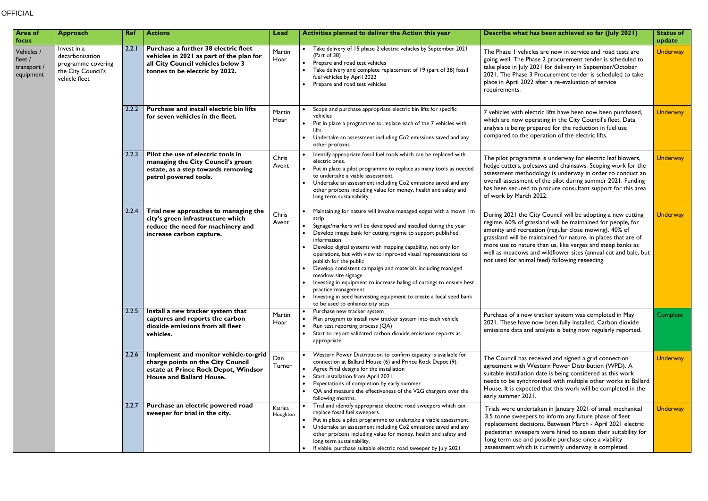### **OFFICIAL**

| <b>Area of</b><br>focus                           | <b>Approach</b>                                                                             | <b>Ref</b> | <b>Actions</b>                                                                                                                         | Lead           | Activities planned to deliver the Action this year                                                                                                                                                                                                                                                                                                                 | Describe what has been achieved so far (July 2021)                                                                                                                                                                                                                                                                                              | <b>Status of</b><br>update                                                                                                                                                                                                                               |                                                                                                                                                                                                                                                                                                                                                                                                                                                                                                                                                                                                                                                                                        |                                                                                                                                                                                                                                                                                                                                                                                                                                         |                                                                                                                                                                                    |          |  |       |
|---------------------------------------------------|---------------------------------------------------------------------------------------------|------------|----------------------------------------------------------------------------------------------------------------------------------------|----------------|--------------------------------------------------------------------------------------------------------------------------------------------------------------------------------------------------------------------------------------------------------------------------------------------------------------------------------------------------------------------|-------------------------------------------------------------------------------------------------------------------------------------------------------------------------------------------------------------------------------------------------------------------------------------------------------------------------------------------------|----------------------------------------------------------------------------------------------------------------------------------------------------------------------------------------------------------------------------------------------------------|----------------------------------------------------------------------------------------------------------------------------------------------------------------------------------------------------------------------------------------------------------------------------------------------------------------------------------------------------------------------------------------------------------------------------------------------------------------------------------------------------------------------------------------------------------------------------------------------------------------------------------------------------------------------------------------|-----------------------------------------------------------------------------------------------------------------------------------------------------------------------------------------------------------------------------------------------------------------------------------------------------------------------------------------------------------------------------------------------------------------------------------------|------------------------------------------------------------------------------------------------------------------------------------------------------------------------------------|----------|--|-------|
| Vehicles /<br>fleet /<br>transport /<br>equipment | Invest in a<br>decarbonisation<br>programme covering<br>the City Council's<br>vehicle fleet |            |                                                                                                                                        | 2.2.1          | Purchase a further 38 electric fleet<br>vehicles in 2021 as part of the plan for<br>all City Council vehicles below 3<br>tonnes to be electric by 2022.                                                                                                                                                                                                            | Martin<br>Hoar                                                                                                                                                                                                                                                                                                                                  | Take delivery of 15 phase 2 electric vehicles by September 2021<br>(Part of 38)<br>• Prepare and road test vehicles<br>Take delivery and complete replacement of 19 (part of 38) fossil<br>fuel vehicles by April 2022<br>Prepare and road test vehicles | The Phase I vehicles are now in service and road tests are<br>going well. The Phase 2 procurement tender is scheduled to<br>take place in July 2021 for delivery in September/October<br>2021. The Phase 3 Procurement tender is scheduled to take<br>place in April 2022 after a re-evaluation of service<br>requirements.                                                                                                                                                                                                                                                                                                                                                            | <b>Underway</b>                                                                                                                                                                                                                                                                                                                                                                                                                         |                                                                                                                                                                                    |          |  |       |
|                                                   |                                                                                             | 2.2.2      | Purchase and install electric bin lifts<br>for seven vehicles in the fleet.                                                            | Martin<br>Hoar | Scope and purchase appropriate electric bin lifts for specific<br>vehicles<br>Put in place a programme to replace each of the 7 vehicles with<br>$\bullet$<br>lifts.<br>• Undertake an assessment including Co2 emissions saved and any<br>other pro/cons                                                                                                          | 7 vehicles with electric lifts have been now been purchased,<br>which are now operating in the City Council's fleet. Data<br>analysis is being prepared for the reduction in fuel use<br>compared to the operation of the electric lifts.                                                                                                       | <b>Underway</b>                                                                                                                                                                                                                                          |                                                                                                                                                                                                                                                                                                                                                                                                                                                                                                                                                                                                                                                                                        |                                                                                                                                                                                                                                                                                                                                                                                                                                         |                                                                                                                                                                                    |          |  |       |
|                                                   |                                                                                             | 2.2.3      | Pilot the use of electric tools in<br>managing the City Council's green<br>estate, as a step towards removing<br>petrol powered tools. | Chris<br>Avent | Identify appropriate fossil fuel tools which can be replaced with<br>electric ones.<br>• Put in place a pilot programme to replace as many tools as needed<br>to undertake a viable assessment.<br>• Undertake an assessment including Co2 emissions saved and any<br>other pro/cons including value for money, health and safety and<br>long term sustainability. | The pilot programme is underway for electric leaf blowers,<br>hedge cutters, polesaws and chainsaws. Scoping work for the<br>assessment methodology is underway in order to conduct an<br>overall assessment of the pilot during summer 2021. Funding<br>has been secured to procure consultant support for this area<br>of work by March 2022. | <b>Underway</b>                                                                                                                                                                                                                                          |                                                                                                                                                                                                                                                                                                                                                                                                                                                                                                                                                                                                                                                                                        |                                                                                                                                                                                                                                                                                                                                                                                                                                         |                                                                                                                                                                                    |          |  |       |
|                                                   |                                                                                             |            |                                                                                                                                        |                | 2.2.4                                                                                                                                                                                                                                                                                                                                                              | Trial new approaches to managing the<br>city's green infrastructure which<br>reduce the need for machinery and<br>increase carbon capture.                                                                                                                                                                                                      | Chris<br>Avent                                                                                                                                                                                                                                           | Maintaining for nature will involve managed edges with a mown Im<br>strip<br>Signage/markers will be developed and installed during the year<br>Develop image bank for cutting regime to support published<br>information<br>Develop digital systems with mapping capability, not only for<br>operations, but with view to improved visual representations to<br>publish for the public<br>Develop consistent campaign and materials including managed<br>meadow site signage<br>Investing in equipment to increase baling of cuttings to ensure best<br>practice management<br>Investing in seed harvesting equipment to create a local seed bank<br>to be used to enhance city sites | During 2021 the City Council will be adopting a new cutting<br>regime. 60% of grassland will be maintained for people, for<br>amenity and recreation (regular close mowing). 40% of<br>grassland will be maintained for nature, in places that are of<br>more use to nature than us, like verges and steep banks as<br>well as meadows and wildflower sites (annual cut and bale, but<br>not used for animal feed) following reseeding. | <b>Underway</b>                                                                                                                                                                    |          |  |       |
|                                                   |                                                                                             |            |                                                                                                                                        |                |                                                                                                                                                                                                                                                                                                                                                                    | 2.2.5                                                                                                                                                                                                                                                                                                                                           | Install a new tracker system that<br>captures and reports the carbon<br>dioxide emissions from all fleet<br>vehicles.                                                                                                                                    | Martin<br>Hoar                                                                                                                                                                                                                                                                                                                                                                                                                                                                                                                                                                                                                                                                         | • Purchase new tracker system<br>• Plan program to install new tracker system into each vehicle<br>• Run test reporting process (QA)<br>• Start to report validated carbon dioxide emissions reports as<br>appropriate                                                                                                                                                                                                                  | Purchase of a new tracker system was completed in May<br>2021. These have now been fully installed. Carbon dioxide<br>emissions data and analysis is being now regularly reported. | Complete |  |       |
|                                                   |                                                                                             |            |                                                                                                                                        |                | 2.2.6                                                                                                                                                                                                                                                                                                                                                              | Implement and monitor vehicle-to-grid<br>charge points on the City Council<br>estate at Prince Rock Depot, Windsor<br>House and Ballard House.                                                                                                                                                                                                  | Dan<br>Turner                                                                                                                                                                                                                                            | • Western Power Distribution to confirm capacity is available for<br>connection at Ballard House (6) and Prince Rock Depot (9).<br>• Agree Final designs for the installation<br>• Start installation from April 2021.<br>Expectations of completion by early summer<br>• QA and measure the effectiveness of the V2G chargers over the<br>following months.                                                                                                                                                                                                                                                                                                                           | The Council has received and signed a grid connection<br>agreement with Western Power Distribution (WPD). A<br>suitable installation date is being considered as this work<br>needs to be synchronised with multiple other works at Ballard<br>House. It is expected that this work will be completed in the<br>early summer 2021.                                                                                                      | <b>Underway</b>                                                                                                                                                                    |          |  |       |
|                                                   |                                                                                             |            |                                                                                                                                        |                |                                                                                                                                                                                                                                                                                                                                                                    |                                                                                                                                                                                                                                                                                                                                                 |                                                                                                                                                                                                                                                          |                                                                                                                                                                                                                                                                                                                                                                                                                                                                                                                                                                                                                                                                                        |                                                                                                                                                                                                                                                                                                                                                                                                                                         |                                                                                                                                                                                    |          |  | 2.2.7 |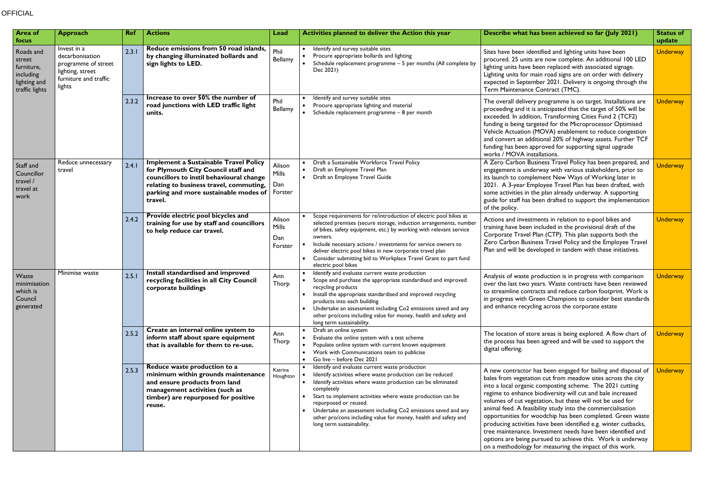## **OFFICIAL**

| <b>Area of</b><br>focus                                                          | <b>Approach</b>                                                                                              | <b>Ref</b> | <b>Actions</b>                                                                                                                                                                                                                 | Lead                              | Activities planned to deliver the Action this year                                                                                                                                                                                                                                                                                                                                                                                                          | Describe what has been achieved so far (July 2021)                                                                                                                                                                                                                                                                                                                                                                                                                                                                                                                                                                                                                                                           | <b>Status of</b><br>update |
|----------------------------------------------------------------------------------|--------------------------------------------------------------------------------------------------------------|------------|--------------------------------------------------------------------------------------------------------------------------------------------------------------------------------------------------------------------------------|-----------------------------------|-------------------------------------------------------------------------------------------------------------------------------------------------------------------------------------------------------------------------------------------------------------------------------------------------------------------------------------------------------------------------------------------------------------------------------------------------------------|--------------------------------------------------------------------------------------------------------------------------------------------------------------------------------------------------------------------------------------------------------------------------------------------------------------------------------------------------------------------------------------------------------------------------------------------------------------------------------------------------------------------------------------------------------------------------------------------------------------------------------------------------------------------------------------------------------------|----------------------------|
| Roads and<br>street<br>furniture,<br>including<br>lighting and<br>traffic lights | Invest in a<br>decarbonisation<br>programme of street<br>lighting, street<br>furniture and traffic<br>lights | 2.3.1      | Reduce emissions from 50 road islands,<br>by changing illuminated bollards and<br>sign lights to LED.                                                                                                                          | Phil<br>Bellamy                   | • Identify and survey suitable sites<br>Procure appropriate bollards and lighting<br>$\bullet$<br>Schedule replacement programme - 5 per months (All complete by<br>Dec 2021)                                                                                                                                                                                                                                                                               | Sites have been identified and lighting units have been<br>procured. 25 units are now complete. An additional 100 LED<br>lighting units have been replaced with associated signage.<br>Lighting units for main road signs are on order with delivery<br>expected in September 2021. Delivery is ongoing through the<br>Term Maintenance Contract (TMC).                                                                                                                                                                                                                                                                                                                                                      | <b>Underway</b>            |
|                                                                                  |                                                                                                              | 2.3.2      | Increase to over 50% the number of<br>road junctions with LED traffic light<br>units.                                                                                                                                          | Phil<br>Bellamy                   | Identify and survey suitable sites<br>Procure appropriate lighting and material<br>$\bullet$<br>Schedule replacement programme - 8 per month<br>$\bullet$                                                                                                                                                                                                                                                                                                   | The overall delivery programme is on target. Installations are<br>proceeding and it is anticipated that the target of 50% will be<br>exceeded. In addition, Transforming Cities Fund 2 (TCF2)<br>funding is being targeted for the Microprocessor Optimised<br>Vehicle Actuation (MOVA) enablement to reduce congestion<br>and convert an additional 20% of highway assets. Further TCF<br>funding has been approved for supporting signal upgrade<br>works / MOVA installations.                                                                                                                                                                                                                            | <b>Underway</b>            |
| Staff and<br>Councillor<br>travel /<br>travel at<br>work                         | Reduce unnecessary<br>travel                                                                                 | 2.4.1      | <b>Implement a Sustainable Travel Policy</b><br>for Plymouth City Council staff and<br>councillors to instil behavioural change<br>relating to business travel, commuting,<br>parking and more sustainable modes of<br>travel. | Alison<br>Mills<br>Dan<br>Forster | Draft a Sustainable Workforce Travel Policy<br>Draft an Employee Travel Plan<br>$\bullet$<br>Draft an Employee Travel Guide<br>$\bullet$                                                                                                                                                                                                                                                                                                                    | A Zero Carbon Business Travel Policy has been prepared, and<br>engagement is underway with various stakeholders, prior to<br>its launch to complement New Ways of Working later in<br>2021. A 3-year Employee Travel Plan has been drafted, with<br>some activities in the plan already underway. A supporting<br>guide for staff has been drafted to support the implementation<br>of the policy.                                                                                                                                                                                                                                                                                                           | <b>Underway</b>            |
|                                                                                  |                                                                                                              | 2.4.2      | Provide electric pool bicycles and<br>training for use by staff and councillors<br>to help reduce car travel.                                                                                                                  | Alison<br>Mills<br>Dan<br>Forster | Scope requirements for re/introduction of electric pool bikes at<br>selected premises (secure storage, induction arrangements, number<br>of bikes, safety equipment, etc.) by working with relevant service<br>owners.<br>Include necessary actions / investments for service owners to<br>$\bullet$<br>deliver electric pool bikes in new corporate travel plan<br>• Consider submitting bid to Workplace Travel Grant to part fund<br>electric pool bikes | Actions and investments in relation to e-pool bikes and<br>training have been included in the provisional draft of the<br>Corporate Travel Plan (CTP). This plan supports both the<br>Zero Carbon Business Travel Policy and the Employee Travel<br>Plan and will be developed in tandem with these initiatives.                                                                                                                                                                                                                                                                                                                                                                                             | <b>Underway</b>            |
| Waste<br>minimisation<br>which is<br>Council<br>generated                        | Minimise waste                                                                                               | 2.5.1      | Install standardised and improved<br>recycling facilities in all City Council<br>corporate buildings                                                                                                                           | Ann<br>Thorp                      | Identify and evaluate current waste production<br>Scope and purchase the appropriate standardised and improved<br>recycling products<br>Install the appropriate standardised and improved recycling<br>products into each building<br>• Undertake an assessment including Co2 emissions saved and any<br>other pro/cons including value for money, health and safety and<br>long term sustainability.                                                       | Analysis of waste production is in progress with comparison<br>over the last two years. Waste contracts have been reviewed<br>to streamline contracts and reduce carbon footprint. Work is<br>in progress with Green Champions to consider best standards<br>and enhance recycling across the corporate estate                                                                                                                                                                                                                                                                                                                                                                                               | Underway                   |
|                                                                                  |                                                                                                              | 2.5.2      | Create an internal online system to<br>inform staff about spare equipment<br>that is available for them to re-use.                                                                                                             | Ann<br>Thorp                      | • Draft an online system<br>Evaluate the online system with a test scheme<br>$\bullet$<br>Populate online system with current known equipment<br>$\bullet$<br>• Work with Communications team to publicise<br>• Go live - before Dec 2021                                                                                                                                                                                                                   | The location of store areas is being explored. A flow chart of<br>the process has been agreed and will be used to support the<br>digital offering.                                                                                                                                                                                                                                                                                                                                                                                                                                                                                                                                                           | <b>Underway</b>            |
|                                                                                  |                                                                                                              | 2.5.3      | Reduce waste production to a<br>minimum within grounds maintenance<br>and ensure products from land<br>management activities (such as<br>timber) are repurposed for positive<br>reuse.                                         | Katrina<br>Houghton               | • Identify and evaluate current waste production<br>Identify activities where waste production can be reduced<br>• Identify activities where waste production can be eliminated<br>completely<br>Start to implement activities where waste production can be<br>repurposed or reused.<br>• Undertake an assessment including Co2 emissions saved and any<br>other pro/cons including value for money, health and safety and<br>long term sustainability.    | A new contractor has been engaged for bailing and disposal of<br>bales from vegetation cut from meadow sites across the city<br>into a local organic composting scheme. The 2021 cutting<br>regime to enhance biodiversity will cut and bale increased<br>volumes of cut vegetation, but these will not be used for<br>animal feed. A feasibility study into the commercialisation<br>opportunities for woodchip has been completed. Green waste<br>producing activities have been identified e.g. winter cutbacks,<br>tree maintenance. Investment needs have been identified and<br>options are being pursued to achieve this. Work is underway<br>on a methodology for measuring the impact of this work. | Underway                   |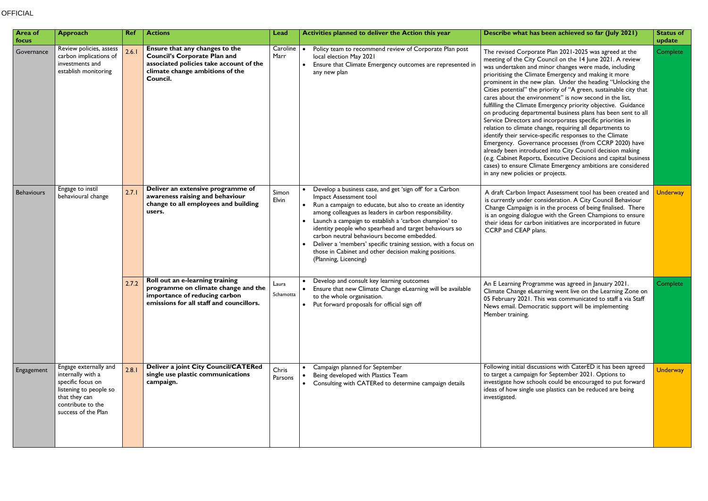| <b>Area of</b><br>focus | <b>Approach</b>                                                                                                                                        | Ref   | <b>Actions</b>                                                                                                                                                  | Lead                                                                                                                   | Activities planned to deliver the Action this year                                                                                                                                       | Describe what has been achieved so far (July 2021)                                                                                                                                                                                                                                                                                                                                                                                                                                                                                                                                                                                                                                                                                                                                                                                                                                                                                                                                                                                                      | <b>Status of</b><br>update                                                                                                                                                                                                                                                                                                                    |                 |
|-------------------------|--------------------------------------------------------------------------------------------------------------------------------------------------------|-------|-----------------------------------------------------------------------------------------------------------------------------------------------------------------|------------------------------------------------------------------------------------------------------------------------|------------------------------------------------------------------------------------------------------------------------------------------------------------------------------------------|---------------------------------------------------------------------------------------------------------------------------------------------------------------------------------------------------------------------------------------------------------------------------------------------------------------------------------------------------------------------------------------------------------------------------------------------------------------------------------------------------------------------------------------------------------------------------------------------------------------------------------------------------------------------------------------------------------------------------------------------------------------------------------------------------------------------------------------------------------------------------------------------------------------------------------------------------------------------------------------------------------------------------------------------------------|-----------------------------------------------------------------------------------------------------------------------------------------------------------------------------------------------------------------------------------------------------------------------------------------------------------------------------------------------|-----------------|
| Governance              | Review policies, assess<br>carbon implications of<br>investments and<br>establish monitoring                                                           | 2.6.1 | Ensure that any changes to the<br><b>Council's Corporate Plan and</b><br>associated policies take account of the<br>climate change ambitions of the<br>Council. | Caroline<br>Marr                                                                                                       | Policy team to recommend review of Corporate Plan post<br>local election May 2021<br>• Ensure that Climate Emergency outcomes are represented in<br>any new plan                         | The revised Corporate Plan 2021-2025 was agreed at the<br>meeting of the City Council on the 14 June 2021. A review<br>was undertaken and minor changes were made, including<br>prioritising the Climate Emergency and making it more<br>prominent in the new plan. Under the heading "Unlocking the<br>Cities potential" the priority of "A green, sustainable city that<br>cares about the environment" is now second in the list,<br>fulfilling the Climate Emergency priority objective. Guidance<br>on producing departmental business plans has been sent to all<br>Service Directors and incorporates specific priorities in<br>relation to climate change, requiring all departments to<br>identify their service-specific responses to the Climate<br>Emergency. Governance processes (from CCRP 2020) have<br>already been introduced into City Council decision making<br>(e.g. Cabinet Reports, Executive Decisions and capital business<br>cases) to ensure Climate Emergency ambitions are considered<br>in any new policies or projects. | Complete                                                                                                                                                                                                                                                                                                                                      |                 |
| <b>Behaviours</b>       | Engage to instil<br>behavioural change                                                                                                                 | 2.7.1 |                                                                                                                                                                 | Deliver an extensive programme of<br>awareness raising and behaviour<br>change to all employees and building<br>users. | Simon<br>Elvin                                                                                                                                                                           | Develop a business case, and get 'sign off' for a Carbon<br>Impact Assessment tool<br>• Run a campaign to educate, but also to create an identity<br>among colleagues as leaders in carbon responsibility.<br>• Launch a campaign to establish a 'carbon champion' to<br>identity people who spearhead and target behaviours so<br>carbon neutral behaviours become embedded.<br>Deliver a 'members' specific training session, with a focus on<br>those in Cabinet and other decision making positions.<br>(Planning, Licencing)                                                                                                                                                                                                                                                                                                                                                                                                                                                                                                                       | A draft Carbon Impact Assessment tool has been created and<br>is currently under consideration. A City Council Behaviour<br>Change Campaign is in the process of being finalised. There<br>is an ongoing dialogue with the Green Champions to ensure<br>their ideas for carbon initiatives are incorporated in future<br>CCRP and CEAP plans. | <b>Underway</b> |
|                         |                                                                                                                                                        | 2.7.2 | Roll out an e-learning training<br>programme on climate change and the<br>importance of reducing carbon<br>emissions for all staff and councillors.             | Laura<br>Schamotta                                                                                                     | Develop and consult key learning outcomes<br>• Ensure that new Climate Change eLearning will be available<br>to the whole organisation.<br>• Put forward proposals for official sign off | An E Learning Programme was agreed in January 2021.<br>Climate Change eLearning went live on the Learning Zone on<br>05 February 2021. This was communicated to staff a via Staff<br>News email. Democratic support will be implementing<br>Member training.                                                                                                                                                                                                                                                                                                                                                                                                                                                                                                                                                                                                                                                                                                                                                                                            | Complete                                                                                                                                                                                                                                                                                                                                      |                 |
| Engagement              | Engage externally and<br>internally with a<br>specific focus on<br>listening to people so<br>that they can<br>contribute to the<br>success of the Plan | 2.8.1 | <b>Deliver a joint City Council/CATERed</b><br>single use plastic communications<br>campaign.                                                                   | Chris<br>Parsons                                                                                                       | • Campaign planned for September<br>Being developed with Plastics Team<br>• Consulting with CATERed to determine campaign details                                                        | Following initial discussions with CaterED it has been agreed<br>to target a campaign for September 2021. Options to<br>investigate how schools could be encouraged to put forward<br>ideas of how single use plastics can be reduced are being<br>investigated.                                                                                                                                                                                                                                                                                                                                                                                                                                                                                                                                                                                                                                                                                                                                                                                        | <b>Underway</b>                                                                                                                                                                                                                                                                                                                               |                 |